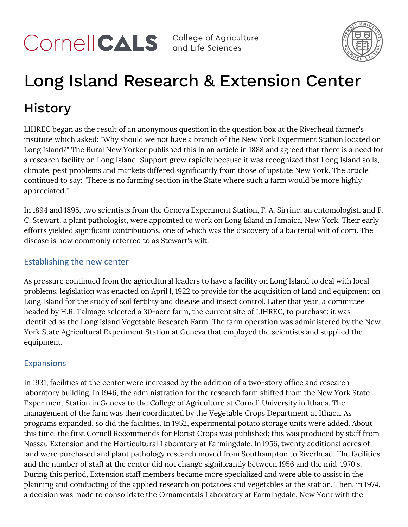COMPICALS College of Agriculture



# Long Island Research & Extension Center History

LIHREC began as the result of an anonymous question in the question box at the Riverhead farmer's institute which asked: "Why should we not have a branch of the New York Experiment Station located on Long Island?" The Rural New Yorker published this in an article in 1888 and agreed that there is a need for a research facility on Long Island. Support grew rapidly because it was recognized that Long Island soils, climate, pest problems and markets differed significantly from those of upstate New York. The article continued to say: "There is no farming section in the State where such a farm would be more highly appreciated."

In 1894 and 1895, two scientists from the Geneva Experiment Station, F. A. Sirrine, an entomologist, and F. C. Stewart, a plant pathologist, were appointed to work on Long Island in Jamaica, New York. Their early efforts yielded significant contributions, one of which was the discovery of a bacterial wilt of corn. The disease is now commonly referred to as Stewart's wilt.

## Establishing the new center

As pressure continued from the agricultural leaders to have a facility on Long Island to deal with local problems, legislation was enacted on April l, 1922 to provide for the acquisition of land and equipment on Long Island for the study of soil fertility and disease and insect control. Later that year, a committee headed by H.R. Talmage selected a 30-acre farm, the current site of LIHREC, to purchase; it was identified as the Long Island Vegetable Research Farm. The farm operation was administered by the New York State Agricultural Experiment Station at Geneva that employed the scientists and supplied the equipment.

## **Expansions**

In 1931, facilities at the center were increased by the addition of a two-story office and research laboratory building. In 1946, the administration for the research farm shifted from the New York State Experiment Station in Geneva to the College of Agriculture at Cornell University in Ithaca. The management of the farm was then coordinated by the Vegetable Crops Department at Ithaca. As programs expanded, so did the facilities. In 1952, experimental potato storage units were added. About this time, the first Cornell Recommends for Florist Crops was published; this was produced by staff from Nassau Extension and the Horticultural Laboratory at Farmingdale. In l956, twenty additional acres of land were purchased and plant pathology research moved from Southampton to Riverhead. The facilities and the number of staff at the center did not change significantly between 1956 and the mid-1970's. During this period, Extension staff members became more specialized and were able to assist in the planning and conducting of the applied research on potatoes and vegetables at the station. Then, in 1974, a decision was made to consolidate the Ornamentals Laboratory at Farmingdale, New York with the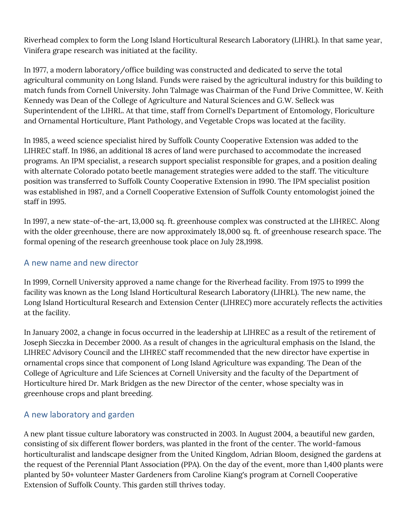Riverhead complex to form the Long Island Horticultural Research Laboratory (LIHRL). In that same year, Vinifera grape research was initiated at the facility.

In 1977, a modern laboratory/office building was constructed and dedicated to serve the total agricultural community on Long Island. Funds were raised by the agricultural industry for this building to match funds from Cornell University. John Talmage was Chairman of the Fund Drive Committee, W. Keith Kennedy was Dean of the College of Agriculture and Natural Sciences and G.W. Selleck was Superintendent of the LIHRL. At that time, staff from Cornell's Department of Entomology, Floriculture and Ornamental Horticulture, Plant Pathology, and Vegetable Crops was located at the facility.

In 1985, a weed science specialist hired by Suffolk County Cooperative Extension was added to the LIHREC staff. In 1986, an additional 18 acres of land were purchased to accommodate the increased programs. An IPM specialist, a research support specialist responsible for grapes, and a position dealing with alternate Colorado potato beetle management strategies were added to the staff. The viticulture position was transferred to Suffolk County Cooperative Extension in 1990. The IPM specialist position was established in 1987, and a Cornell Cooperative Extension of Suffolk County entomologist joined the staff in 1995.

In 1997, a new state-of-the-art, 13,000 sq. ft. greenhouse complex was constructed at the LIHREC. Along with the older greenhouse, there are now approximately 18,000 sq. ft. of greenhouse research space. The formal opening of the research greenhouse took place on July 28,1998.

## A new name and new director

In 1999, Cornell University approved a name change for the Riverhead facility. From 1975 to 1999 the facility was known as the Long Island Horticultural Research Laboratory (LIHRL). The new name, the Long Island Horticultural Research and Extension Center (LIHREC) more accurately reflects the activities at the facility.

In January 2002, a change in focus occurred in the leadership at LIHREC as a result of the retirement of Joseph Sieczka in December 2000. As a result of changes in the agricultural emphasis on the Island, the LIHREC Advisory Council and the LIHREC staff recommended that the new director have expertise in ornamental crops since that component of Long Island Agriculture was expanding. The Dean of the College of Agriculture and Life Sciences at Cornell University and the faculty of the Department of Horticulture hired Dr. Mark Bridgen as the new Director of the center, whose specialty was in greenhouse crops and plant breeding.

## A new laboratory and garden

A new plant tissue culture laboratory was constructed in 2003. In August 2004, a beautiful new garden, consisting of six different flower borders, was planted in the front of the center. The world-famous horticulturalist and landscape designer from the United Kingdom, Adrian Bloom, designed the gardens at the request of the Perennial Plant Association (PPA). On the day of the event, more than 1,400 plants were planted by 50+ volunteer Master Gardeners from Caroline Kiang's program at Cornell Cooperative Extension of Suffolk County. This garden still thrives today.